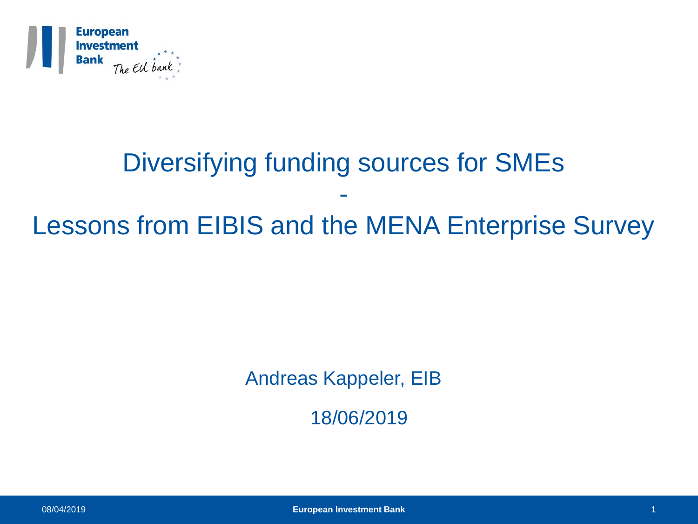

### Diversifying funding sources for SMEs - Lessons from EIBIS and the MENA Enterprise Survey

Andreas Kappeler, EIB

18/06/2019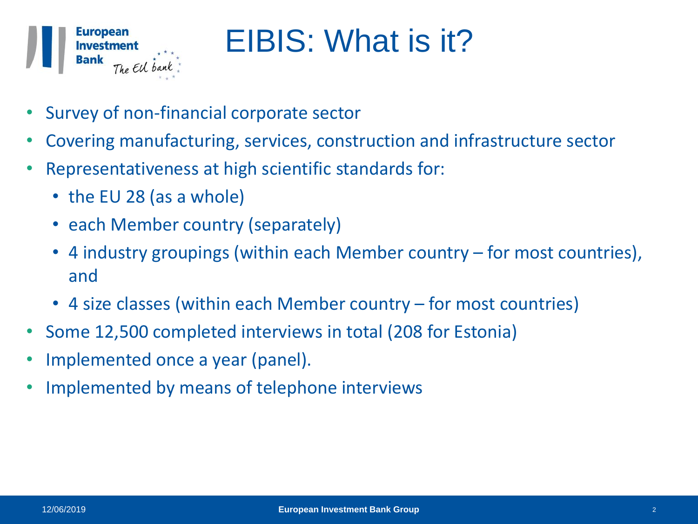

## EIBIS: What is it?

- Survey of non-financial corporate sector
- Covering manufacturing, services, construction and infrastructure sector
- Representativeness at high scientific standards for:
	- the EU 28 (as a whole)
	- each Member country (separately)
	- 4 industry groupings (within each Member country for most countries), and
	- 4 size classes (within each Member country for most countries)
- Some 12,500 completed interviews in total (208 for Estonia)
- Implemented once a year (panel).
- Implemented by means of telephone interviews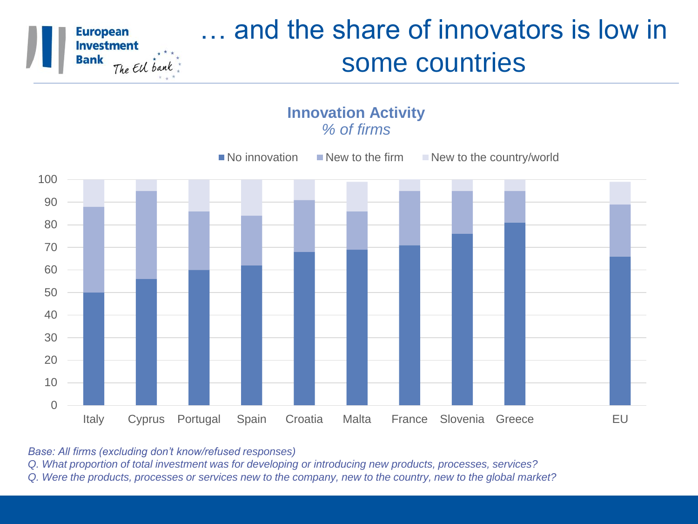

### … and the share of innovators is low in some countries





*Base: All firms (excluding don't know/refused responses)*

*Q. What proportion of total investment was for developing or introducing new products, processes, services?* 

*Q. Were the products, processes or services new to the company, new to the country, new to the global market?*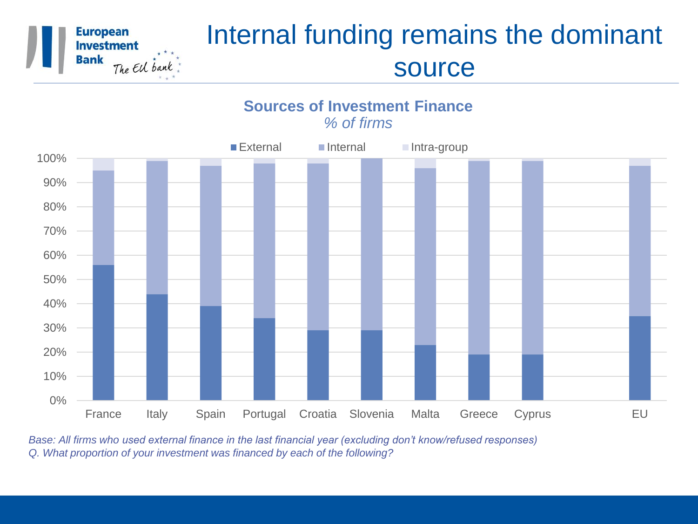

### Internal funding remains the dominant source



**Sources of Investment Finance** *% of firms*

*Base: All firms who used external finance in the last financial year (excluding don't know/refused responses) Q. What proportion of your investment was financed by each of the following?*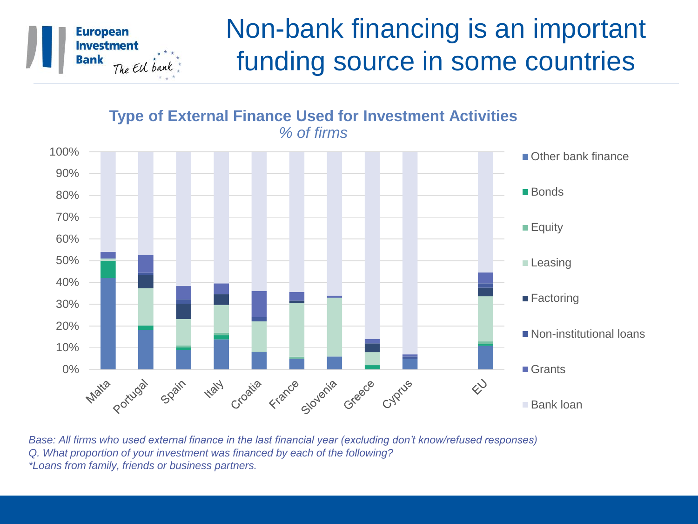

### Non-bank financing is an important funding source in some countries

#### 100% Contract to the contract of the contract of the contract of the contract of the Contract of the Contract of the Contract of the Contract of the Contract of the Contract of the Contract of the Contract of the Contract 90% **Bonds** 80% 70% **Equity** 60% 50% **Leasing** 40% ■ Factoring 30% 20% Non-institutional loans 10% 0% ■ Grants Croatia **High** Matia portugal spain France Slovenia Greece Cyprus  $\diamondsuit$ Bank loan

**Type of External Finance Used for Investment Activities** *% of firms*

*Base: All firms who used external finance in the last financial year (excluding don't know/refused responses) Q. What proportion of your investment was financed by each of the following? \*Loans from family, friends or business partners.*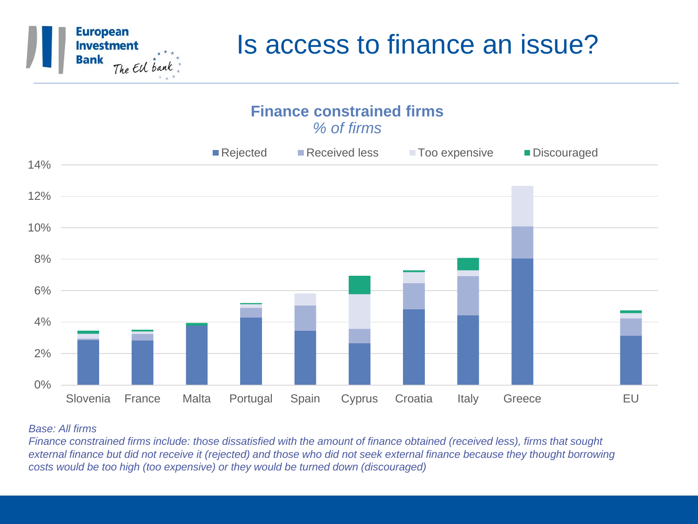

### Is access to finance an issue?



#### *Base: All firms*

*Finance constrained firms include: those dissatisfied with the amount of finance obtained (received less), firms that sought external finance but did not receive it (rejected) and those who did not seek external finance because they thought borrowing costs would be too high (too expensive) or they would be turned down (discouraged)*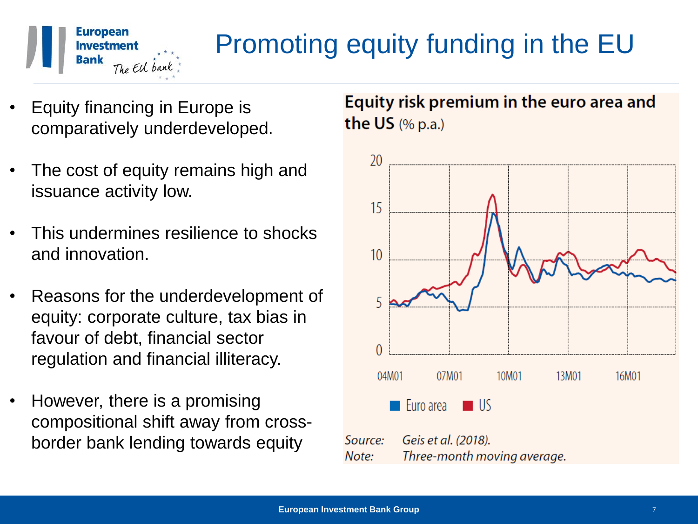

### Promoting equity funding in the EU

- Equity financing in Europe is comparatively underdeveloped.
- The cost of equity remains high and issuance activity low.
- This undermines resilience to shocks and innovation.
- Reasons for the underdevelopment of equity: corporate culture, tax bias in favour of debt, financial sector regulation and financial illiteracy.
- However, there is a promising compositional shift away from crossborder bank lending towards equity

Equity risk premium in the euro area and the US  $(\%$  p.a.)

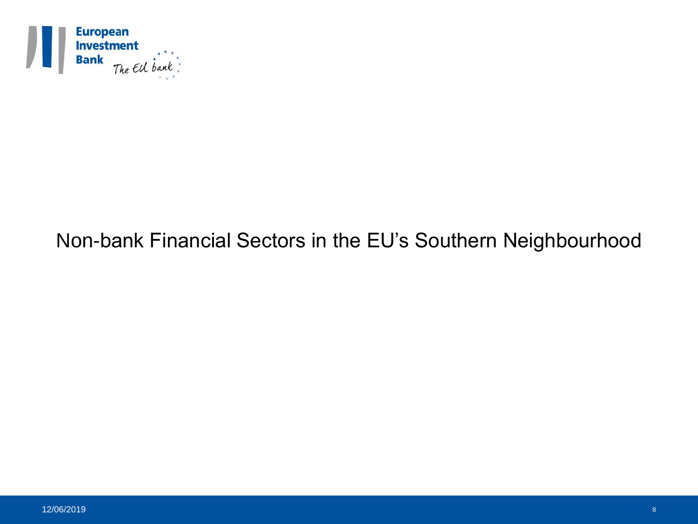

### Non-bank Financial Sectors in the EU's Southern Neighbourhood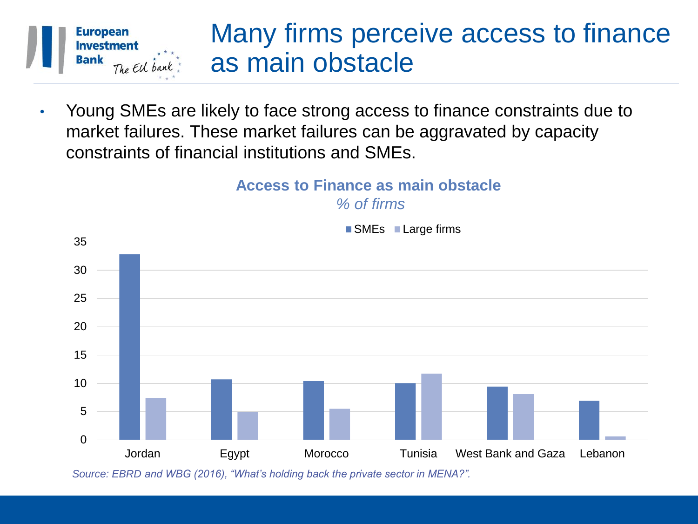

• Young SMEs are likely to face strong access to finance constraints due to market failures. These market failures can be aggravated by capacity constraints of financial institutions and SMEs.

#### **Access to Finance as main obstacle** *% of firms*



■ SMEs ■ Large firms

*Source: EBRD and WBG (2016), "What's holding back the private sector in MENA?".*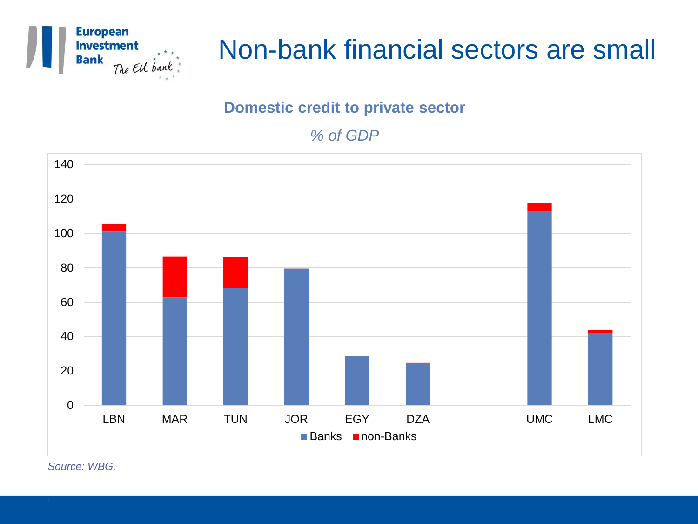

### Non-bank financial sectors are small

#### **Domestic credit to private sector**

#### *% of GDP*



*Source: WBG.* 

*.*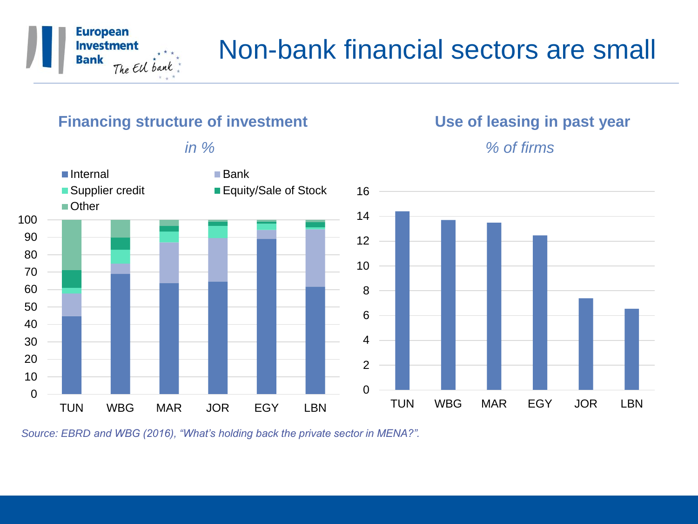

### Non-bank financial sectors are small

#### **Financing structure of investment Theorem Construction Use of leasing in past year**



*Source: EBRD and WBG (2016), "What's holding back the private sector in MENA?".* 

*in % % of firms*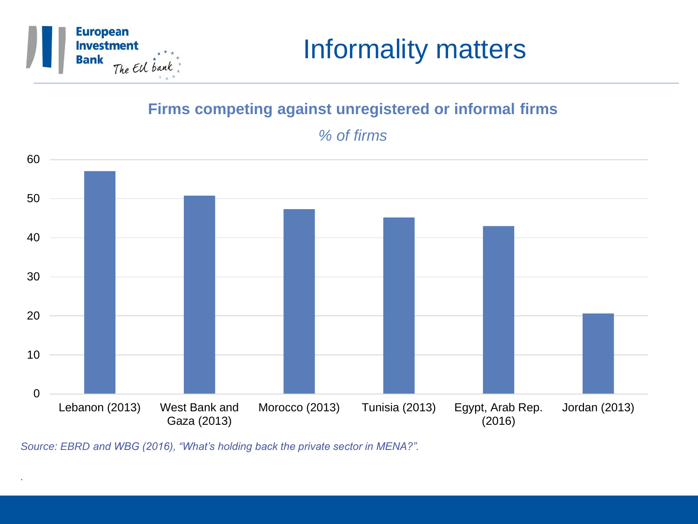

*.*

### Informality matters

#### **Firms competing against unregistered or informal firms**

*% of firms*



*Source: EBRD and WBG (2016), "What's holding back the private sector in MENA?".*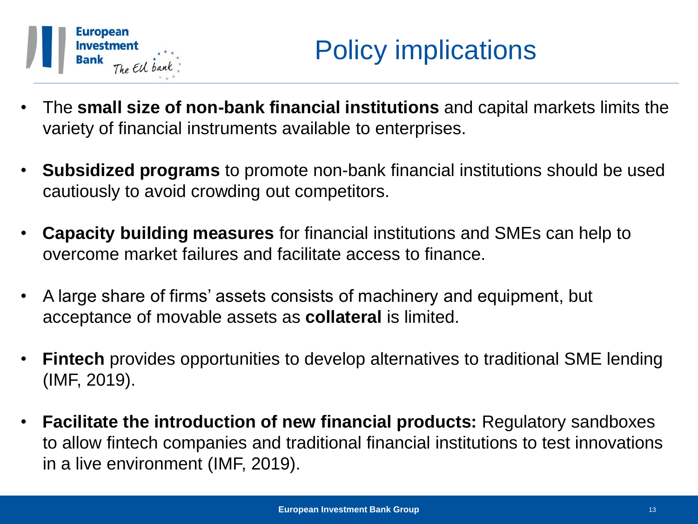

- The **small size of non-bank financial institutions** and capital markets limits the variety of financial instruments available to enterprises.
- **Subsidized programs** to promote non-bank financial institutions should be used cautiously to avoid crowding out competitors.
- **Capacity building measures** for financial institutions and SMEs can help to overcome market failures and facilitate access to finance.
- A large share of firms' assets consists of machinery and equipment, but acceptance of movable assets as **collateral** is limited.
- **Fintech** provides opportunities to develop alternatives to traditional SME lending (IMF, 2019).
- **Facilitate the introduction of new financial products:** Regulatory sandboxes to allow fintech companies and traditional financial institutions to test innovations in a live environment (IMF, 2019).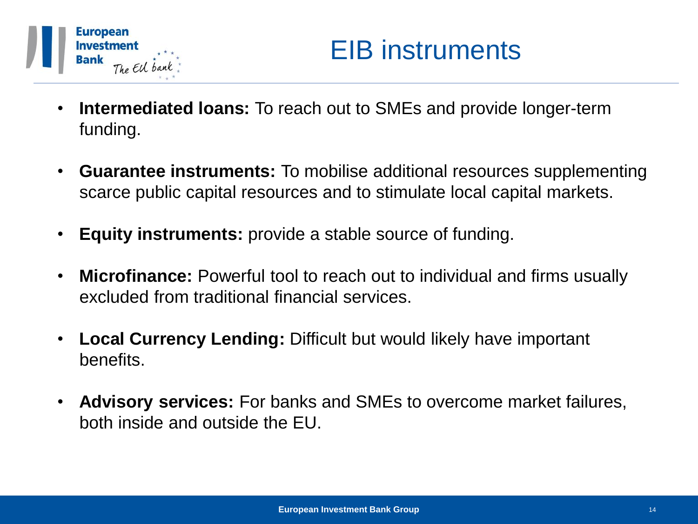

- **Intermediated loans:** To reach out to SMEs and provide longer-term funding.
- **Guarantee instruments:** To mobilise additional resources supplementing scarce public capital resources and to stimulate local capital markets.
- **Equity instruments:** provide a stable source of funding.
- **Microfinance:** Powerful tool to reach out to individual and firms usually excluded from traditional financial services.
- **Local Currency Lending:** Difficult but would likely have important benefits.
- **Advisory services:** For banks and SMEs to overcome market failures, both inside and outside the EU.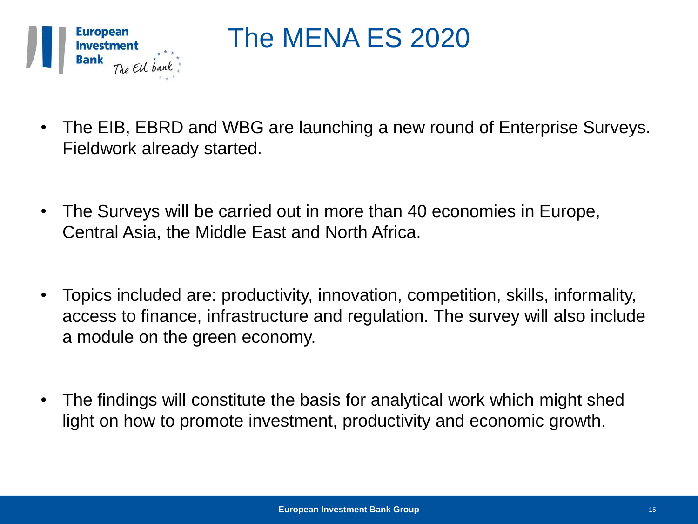

The MENA ES 2020

- The EIB, EBRD and WBG are launching a new round of Enterprise Surveys. Fieldwork already started.
- The Surveys will be carried out in more than 40 economies in Europe, Central Asia, the Middle East and North Africa.
- Topics included are: productivity, innovation, competition, skills, informality, access to finance, infrastructure and regulation. The survey will also include a module on the green economy.
- The findings will constitute the basis for analytical work which might shed light on how to promote investment, productivity and economic growth.